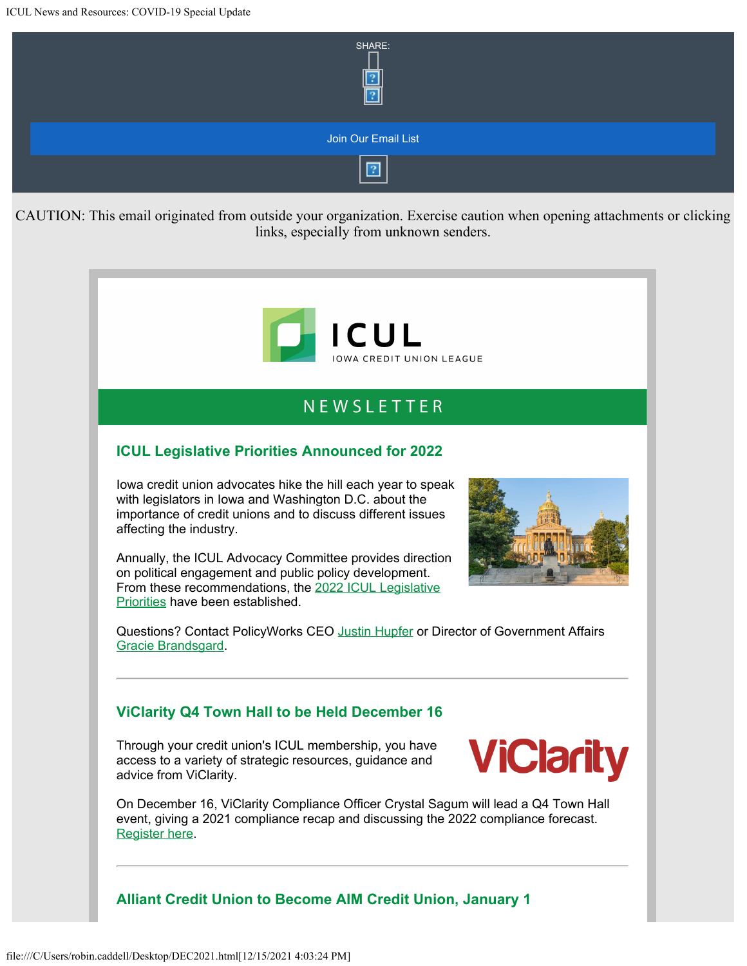

# NEWSLETTER

## **ICUL Legislative Priorities Announced for 2022**

Iowa credit union advocates hike the hill each year to speak with legislators in Iowa and Washington D.C. about the importance of credit unions and to discuss different issues affecting the industry.

Annually, the ICUL Advocacy Committee provides direction on political engagement and public policy development. From these recommendations, the [2022 ICUL Legislative](https://info.iowacreditunions.com/e/821233/022-Legislative-Priorities-pdf/46mfg/316788287?h=bF4tfDfREmsdRfekT48Avi5xrwHBbB2Q-2nJ1IDOhpw) [Priorities](https://info.iowacreditunions.com/e/821233/022-Legislative-Priorities-pdf/46mfg/316788287?h=bF4tfDfREmsdRfekT48Avi5xrwHBbB2Q-2nJ1IDOhpw) have been established.



Questions? Contact PolicyWorks CEO [Justin Hupfer](mailto:justin.hupfer@policyworksllc.com) or Director of Government Affairs [Gracie Brandsgard](mailto:gracie.brandsgard@policyworksllc.com?subject=2022%20Legislative%20Priorities).

### **ViClarity Q4 Town Hall to be Held December 16**

Through your credit union's ICUL membership, you have access to a variety of strategic resources, guidance and advice from ViClarity.



On December 16, ViClarity Compliance Officer Crystal Sagum will lead a Q4 Town Hall event, giving a 2021 compliance recap and discussing the 2022 compliance forecast. [Register here](https://info.iowacreditunions.com/e/821233/ster-WN-xXZLYINvSo-C0f-T9l1MTQ/46mfj/316788287?h=bF4tfDfREmsdRfekT48Avi5xrwHBbB2Q-2nJ1IDOhpw).

#### **Alliant Credit Union to Become AIM Credit Union, January 1**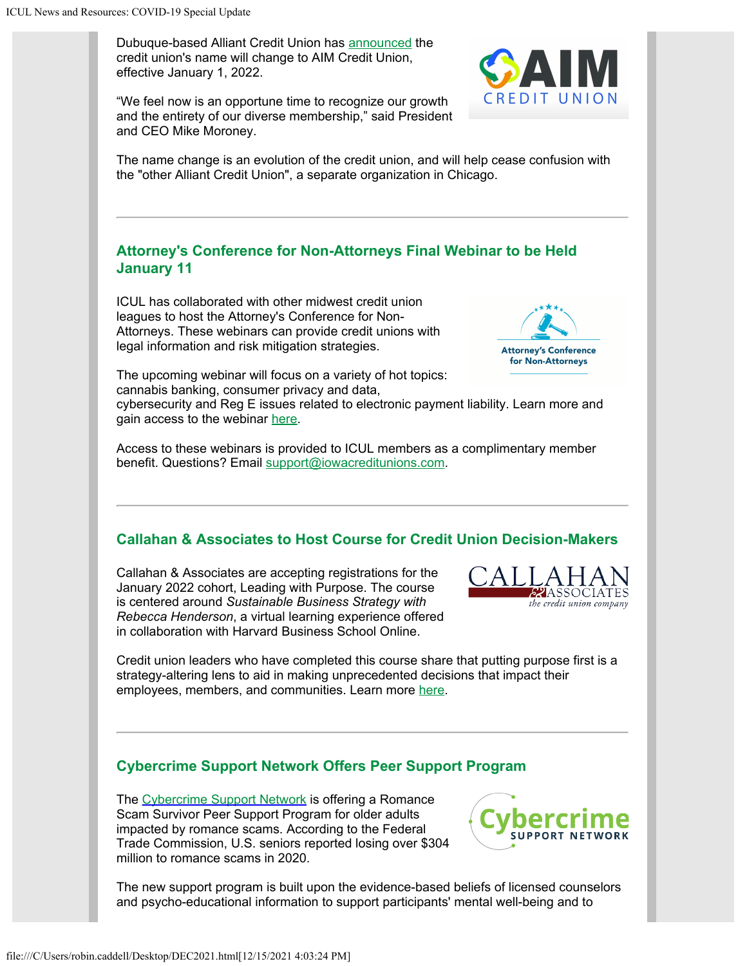Dubuque-based Alliant Credit Union has [announced](https://info.iowacreditunions.com/e/821233/nouncement--tc-AIMannouncement/46mfl/316788287?h=bF4tfDfREmsdRfekT48Avi5xrwHBbB2Q-2nJ1IDOhpw) the credit union's name will change to AIM Credit Union, effective January 1, 2022.

"We feel now is an opportune time to recognize our growth and the entirety of our diverse membership," said President and CEO Mike Moroney.

The name change is an evolution of the credit union, and will help cease confusion with the "other Alliant Credit Union", a separate organization in Chicago.

### **Attorney's Conference for Non-Attorneys Final Webinar to be Held January 11**

ICUL has collaborated with other midwest credit union leagues to host the Attorney's Conference for Non-Attorneys. These webinars can provide credit unions with legal information and risk mitigation strategies.



The upcoming webinar will focus on a variety of hot topics: cannabis banking, consumer privacy and data,

cybersecurity and Reg E issues related to electronic payment liability. Learn more and gain access to the webinar [here](https://info.iowacreditunions.com/e/821233/-Regulatory-Issues-Webinar-pdf/46mfn/316788287?h=bF4tfDfREmsdRfekT48Avi5xrwHBbB2Q-2nJ1IDOhpw).

Access to these webinars is provided to ICUL members as a complimentary member benefit. Questions? Email [support@iowacreditunions.com](mailto:support@iowacreditunions.com?subject=Attorney).

## **Callahan & Associates to Host Course for Credit Union Decision-Makers**

Callahan & Associates are accepting registrations for the January 2022 cohort, Leading with Purpose. The course is centered around *Sustainable Business Strategy with Rebecca Henderson*, a virtual learning experience offered in collaboration with Harvard Business School Online.



Credit union leaders who have completed this course share that putting purpose first is a strategy-altering lens to aid in making unprecedented decisions that impact their employees, members, and communities. Learn more [here](https://info.iowacreditunions.com/e/821233/jZyzvsFyYzX-Z9iLnFl9lUX-sq1lpU/46mfq/316788287?h=bF4tfDfREmsdRfekT48Avi5xrwHBbB2Q-2nJ1IDOhpw).

#### **Cybercrime Support Network Offers Peer Support Program**

The [Cybercrime Support Network](https://info.iowacreditunions.com/e/821233/2021-12-03/46mfs/316788287?h=bF4tfDfREmsdRfekT48Avi5xrwHBbB2Q-2nJ1IDOhpw) is offering a Romance Scam Survivor Peer Support Program for older adults impacted by romance scams. According to the Federal Trade Commission, U.S. seniors reported losing over \$304 million to romance scams in 2020.



The new support program is built upon the evidence-based beliefs of licensed counselors and psycho-educational information to support participants' mental well-being and to